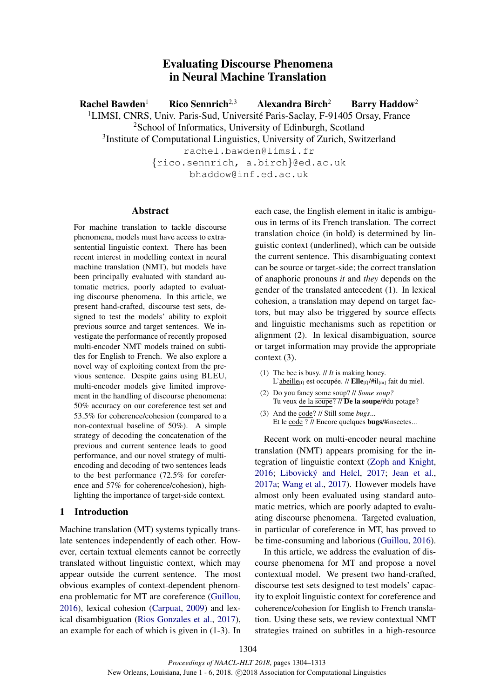# Evaluating Discourse Phenomena in Neural Machine Translation

Rachel Bawden<sup>1</sup> Rico Sennrich<sup>2,3</sup> Alexandra Birch<sup>2</sup> Barry Haddow<sup>2</sup> <sup>1</sup>LIMSI, CNRS, Univ. Paris-Sud, Université Paris-Saclay, F-91405 Orsay, France <sup>2</sup>School of Informatics, University of Edinburgh, Scotland <sup>3</sup>Institute of Computational Linguistics, University of Zurich, Switzerland rachel.bawden@limsi.fr {rico.sennrich, a.birch}@ed.ac.uk bhaddow@inf.ed.ac.uk

#### **Abstract**

For machine translation to tackle discourse phenomena, models must have access to extrasentential linguistic context. There has been recent interest in modelling context in neural machine translation (NMT), but models have been principally evaluated with standard automatic metrics, poorly adapted to evaluating discourse phenomena. In this article, we present hand-crafted, discourse test sets, designed to test the models' ability to exploit previous source and target sentences. We investigate the performance of recently proposed multi-encoder NMT models trained on subtitles for English to French. We also explore a novel way of exploiting context from the previous sentence. Despite gains using BLEU, multi-encoder models give limited improvement in the handling of discourse phenomena: 50% accuracy on our coreference test set and 53.5% for coherence/cohesion (compared to a non-contextual baseline of 50%). A simple strategy of decoding the concatenation of the previous and current sentence leads to good performance, and our novel strategy of multiencoding and decoding of two sentences leads to the best performance (72.5% for coreference and 57% for coherence/cohesion), highlighting the importance of target-side context.

### 1 Introduction

Machine translation (MT) systems typically translate sentences independently of each other. However, certain textual elements cannot be correctly translated without linguistic context, which may appear outside the current sentence. The most obvious examples of context-dependent phenomena problematic for MT are coreference (Guillou, 2016), lexical cohesion (Carpuat, 2009) and lexical disambiguation (Rios Gonzales et al., 2017), an example for each of which is given in (1-3). In each case, the English element in italic is ambiguous in terms of its French translation. The correct translation choice (in bold) is determined by linguistic context (underlined), which can be outside the current sentence. This disambiguating context can be source or target-side; the correct translation of anaphoric pronouns *it* and *they* depends on the gender of the translated antecedent (1). In lexical cohesion, a translation may depend on target factors, but may also be triggered by source effects and linguistic mechanisms such as repetition or alignment (2). In lexical disambiguation, source or target information may provide the appropriate context (3).

- (1) The bee is busy. // *It* is making honey. L'abeille<sub>[f]</sub> est occupée. //  $\text{Elle}_{[f]}/\text{Hil}_{[m]}$  fait du miel.
- (2) Do you fancy some soup? // *Some soup?* Tu veux de la soupe?  $\overline{\prime\prime}$ De la soupe/#du potage?
- (3) And the code? // Still some *bugs*... Et le code ? // Encore quelques bugs/#insectes...

Recent work on multi-encoder neural machine translation (NMT) appears promising for the integration of linguistic context (Zoph and Knight, 2016; Libovický and Helcl, 2017; Jean et al., 2017a; Wang et al., 2017). However models have almost only been evaluated using standard automatic metrics, which are poorly adapted to evaluating discourse phenomena. Targeted evaluation, in particular of coreference in MT, has proved to be time-consuming and laborious (Guillou, 2016).

In this article, we address the evaluation of discourse phenomena for MT and propose a novel contextual model. We present two hand-crafted, discourse test sets designed to test models' capacity to exploit linguistic context for coreference and coherence/cohesion for English to French translation. Using these sets, we review contextual NMT strategies trained on subtitles in a high-resource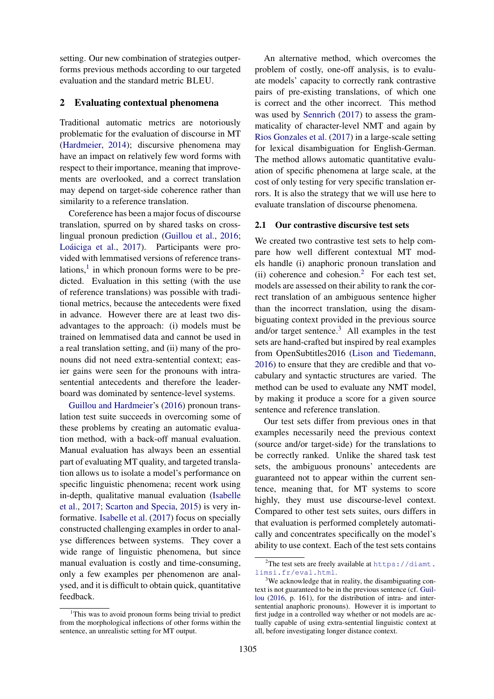setting. Our new combination of strategies outperforms previous methods according to our targeted evaluation and the standard metric BLEU.

### 2 Evaluating contextual phenomena

Traditional automatic metrics are notoriously problematic for the evaluation of discourse in MT (Hardmeier, 2014); discursive phenomena may have an impact on relatively few word forms with respect to their importance, meaning that improvements are overlooked, and a correct translation may depend on target-side coherence rather than similarity to a reference translation.

Coreference has been a major focus of discourse translation, spurred on by shared tasks on crosslingual pronoun prediction (Guillou et al., 2016; Loáiciga et al., 2017). Participants were provided with lemmatised versions of reference translations, $<sup>1</sup>$  in which pronoun forms were to be pre-</sup> dicted. Evaluation in this setting (with the use of reference translations) was possible with traditional metrics, because the antecedents were fixed in advance. However there are at least two disadvantages to the approach: (i) models must be trained on lemmatised data and cannot be used in a real translation setting, and (ii) many of the pronouns did not need extra-sentential context; easier gains were seen for the pronouns with intrasentential antecedents and therefore the leaderboard was dominated by sentence-level systems.

Guillou and Hardmeier's (2016) pronoun translation test suite succeeds in overcoming some of these problems by creating an automatic evaluation method, with a back-off manual evaluation. Manual evaluation has always been an essential part of evaluating MT quality, and targeted translation allows us to isolate a model's performance on specific linguistic phenomena; recent work using in-depth, qualitative manual evaluation (Isabelle et al., 2017; Scarton and Specia, 2015) is very informative. Isabelle et al. (2017) focus on specially constructed challenging examples in order to analyse differences between systems. They cover a wide range of linguistic phenomena, but since manual evaluation is costly and time-consuming, only a few examples per phenomenon are analysed, and it is difficult to obtain quick, quantitative feedback.

An alternative method, which overcomes the problem of costly, one-off analysis, is to evaluate models' capacity to correctly rank contrastive pairs of pre-existing translations, of which one is correct and the other incorrect. This method was used by Sennrich (2017) to assess the grammaticality of character-level NMT and again by Rios Gonzales et al. (2017) in a large-scale setting for lexical disambiguation for English-German. The method allows automatic quantitative evaluation of specific phenomena at large scale, at the cost of only testing for very specific translation errors. It is also the strategy that we will use here to evaluate translation of discourse phenomena.

#### 2.1 Our contrastive discursive test sets

We created two contrastive test sets to help compare how well different contextual MT models handle (i) anaphoric pronoun translation and (ii) coherence and cohesion.<sup>2</sup> For each test set, models are assessed on their ability to rank the correct translation of an ambiguous sentence higher than the incorrect translation, using the disambiguating context provided in the previous source and/or target sentence. $3$  All examples in the test sets are hand-crafted but inspired by real examples from OpenSubtitles2016 (Lison and Tiedemann, 2016) to ensure that they are credible and that vocabulary and syntactic structures are varied. The method can be used to evaluate any NMT model, by making it produce a score for a given source sentence and reference translation.

Our test sets differ from previous ones in that examples necessarily need the previous context (source and/or target-side) for the translations to be correctly ranked. Unlike the shared task test sets, the ambiguous pronouns' antecedents are guaranteed not to appear within the current sentence, meaning that, for MT systems to score highly, they must use discourse-level context. Compared to other test sets suites, ours differs in that evaluation is performed completely automatically and concentrates specifically on the model's ability to use context. Each of the test sets contains

<sup>&</sup>lt;sup>1</sup>This was to avoid pronoun forms being trivial to predict from the morphological inflections of other forms within the sentence, an unrealistic setting for MT output.

<sup>&</sup>lt;sup>2</sup>The test sets are freely available at  $https://diam.t.$ limsi.fr/eval.html.

<sup>&</sup>lt;sup>3</sup>We acknowledge that in reality, the disambiguating context is not guaranteed to be in the previous sentence (cf. Guillou (2016, p. 161), for the distribution of intra- and intersentential anaphoric pronouns). However it is important to first judge in a controlled way whether or not models are actually capable of using extra-sentential linguistic context at all, before investigating longer distance context.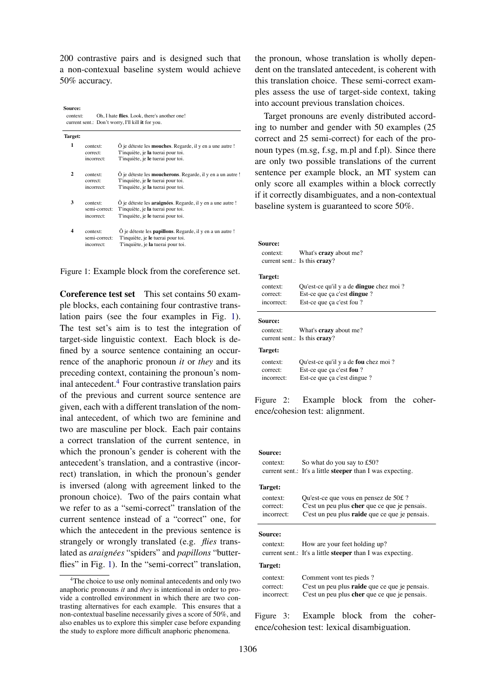200 contrastive pairs and is designed such that a non-contexual baseline system would achieve 50% accuracy.

context: Oh, I hate **flies**. Look, there's another one! current sent.: Don't worry, I'll kill **it** for you. **Source:**

| Target:      |               |                                                                    |  |  |  |  |  |
|--------------|---------------|--------------------------------------------------------------------|--|--|--|--|--|
| 1            | context:      | O je déteste les <b>mouches</b> . Regarde, il y en a une autre !   |  |  |  |  |  |
|              | correct:      | T'inquiète, je la tuerai pour toi.                                 |  |  |  |  |  |
|              | incorrect:    | T'inquiète, je le tuerai pour toi.                                 |  |  |  |  |  |
| $\mathbf{2}$ | context:      | Ô je déteste les <b>moucherons</b> . Regarde, il y en a un autre ! |  |  |  |  |  |
|              | correct:      | T'inquiète, je le tuerai pour toi.                                 |  |  |  |  |  |
|              | incorrect:    | T'inquiète, je la tuerai pour toi.                                 |  |  |  |  |  |
| 3            | context:      | O je déteste les <b>araignées</b> . Regarde, il y en a une autre ! |  |  |  |  |  |
|              | semi-correct: | T'inquiète, je la tuerai pour toi.                                 |  |  |  |  |  |
|              | incorrect:    | T'inquiète, je le tuerai pour toi.                                 |  |  |  |  |  |
| 4            | context:      | O je déteste les <b>papillons</b> . Regarde, il y en a un autre!   |  |  |  |  |  |
|              | semi-correct: | T'inquiète, je le tuerai pour toi.                                 |  |  |  |  |  |
|              | incorrect:    | T'inquiète, je la tuerai pour toi.                                 |  |  |  |  |  |
|              |               |                                                                    |  |  |  |  |  |

Figure 1: Example block from the coreference set.

Coreference test set This set contains 50 example blocks, each containing four contrastive translation pairs (see the four examples in Fig. 1). The test set's aim is to test the integration of target-side linguistic context. Each block is defined by a source sentence containing an occurrence of the anaphoric pronoun *it* or *they* and its preceding context, containing the pronoun's nominal antecedent.<sup>4</sup> Four contrastive translation pairs of the previous and current source sentence are given, each with a different translation of the nominal antecedent, of which two are feminine and two are masculine per block. Each pair contains a correct translation of the current sentence, in which the pronoun's gender is coherent with the antecedent's translation, and a contrastive (incorrect) translation, in which the pronoun's gender is inversed (along with agreement linked to the pronoun choice). Two of the pairs contain what we refer to as a "semi-correct" translation of the current sentence instead of a "correct" one, for which the antecedent in the previous sentence is strangely or wrongly translated (e.g. *flies* translated as *araignées* "spiders" and *papillons* "butterflies" in Fig. 1). In the "semi-correct" translation,

the pronoun, whose translation is wholly dependent on the translated antecedent, is coherent with this translation choice. These semi-correct examples assess the use of target-side context, taking into account previous translation choices.

Target pronouns are evenly distributed according to number and gender with 50 examples (25 correct and 25 semi-correct) for each of the pronoun types (m.sg, f.sg, m.pl and f.pl). Since there are only two possible translations of the current sentence per example block, an MT system can only score all examples within a block correctly if it correctly disambiguates, and a non-contextual baseline system is guaranteed to score 50%.

| Source:<br>context:                       | What's <b>crazy</b> about me?<br>current sent.: Is this $c\mathbf{razv}$ ? |  |  |  |  |  |
|-------------------------------------------|----------------------------------------------------------------------------|--|--|--|--|--|
| Target:                                   |                                                                            |  |  |  |  |  |
| context:                                  | Qu'est-ce qu'il y a de <b>dingue</b> chez moi ?                            |  |  |  |  |  |
| correct:                                  | Est-ce que ça c'est <b>dingue</b> ?                                        |  |  |  |  |  |
| Est-ce que ça c'est fou ?<br>incorrect:   |                                                                            |  |  |  |  |  |
| <b>Source:</b>                            |                                                                            |  |  |  |  |  |
| context:                                  | What's <b>crazy</b> about me?                                              |  |  |  |  |  |
|                                           | current sent.: Is this $crazy?$                                            |  |  |  |  |  |
| Target:                                   |                                                                            |  |  |  |  |  |
| context:                                  | Qu'est-ce qu'il y a de fou chez moi ?                                      |  |  |  |  |  |
| correct:                                  | Est-ce que ça c'est fou ?                                                  |  |  |  |  |  |
| Est-ce que ça c'est dingue?<br>incorrect: |                                                                            |  |  |  |  |  |

Figure 2: Example block from the coherence/cohesion test: alignment.

#### **Source:**

| context:                           | So what do you say to £50?<br>current sent.: It's a little <b>steeper</b> than I was expecting.                                                |  |  |  |  |  |  |
|------------------------------------|------------------------------------------------------------------------------------------------------------------------------------------------|--|--|--|--|--|--|
| Target:                            |                                                                                                                                                |  |  |  |  |  |  |
| context:<br>correct:<br>incorrect: | Qu'est-ce que vous en pensez de 50£?<br>C'est un peu plus cher que ce que je pensais.<br>C'est un peu plus <b>raide</b> que ce que je pensais. |  |  |  |  |  |  |
| <b>Source:</b>                     |                                                                                                                                                |  |  |  |  |  |  |
| context:                           | How are your feet holding up?<br>current sent.: It's a little <b>steeper</b> than I was expecting.                                             |  |  |  |  |  |  |
| Target:                            |                                                                                                                                                |  |  |  |  |  |  |
| context:<br>correct:<br>incorrect: | Comment vont tes pieds?<br>C'est un peu plus <b>raide</b> que ce que je pensais.<br>C'est un peu plus cher que ce que je pensais.              |  |  |  |  |  |  |

Figure 3: Example block from the coherence/cohesion test: lexical disambiguation.

<sup>&</sup>lt;sup>4</sup>The choice to use only nominal antecedents and only two anaphoric pronouns *it* and *they* is intentional in order to provide a controlled environment in which there are two contrasting alternatives for each example. This ensures that a non-contextual baseline necessarily gives a score of 50%, and also enables us to explore this simpler case before expanding the study to explore more difficult anaphoric phenomena.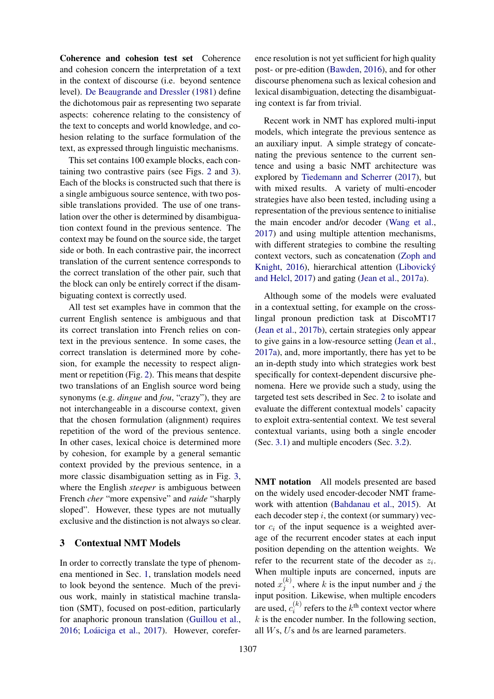Coherence and cohesion test set Coherence and cohesion concern the interpretation of a text in the context of discourse (i.e. beyond sentence level). De Beaugrande and Dressler (1981) define the dichotomous pair as representing two separate aspects: coherence relating to the consistency of the text to concepts and world knowledge, and cohesion relating to the surface formulation of the text, as expressed through linguistic mechanisms.

This set contains 100 example blocks, each containing two contrastive pairs (see Figs. 2 and 3). Each of the blocks is constructed such that there is a single ambiguous source sentence, with two possible translations provided. The use of one translation over the other is determined by disambiguation context found in the previous sentence. The context may be found on the source side, the target side or both. In each contrastive pair, the incorrect translation of the current sentence corresponds to the correct translation of the other pair, such that the block can only be entirely correct if the disambiguating context is correctly used.

All test set examples have in common that the current English sentence is ambiguous and that its correct translation into French relies on context in the previous sentence. In some cases, the correct translation is determined more by cohesion, for example the necessity to respect alignment or repetition (Fig. 2). This means that despite two translations of an English source word being synonyms (e.g. *dingue* and *fou*, "crazy"), they are not interchangeable in a discourse context, given that the chosen formulation (alignment) requires repetition of the word of the previous sentence. In other cases, lexical choice is determined more by cohesion, for example by a general semantic context provided by the previous sentence, in a more classic disambiguation setting as in Fig. 3, where the English *steeper* is ambiguous between French *cher* "more expensive" and *raide* "sharply sloped". However, these types are not mutually exclusive and the distinction is not always so clear.

## 3 Contextual NMT Models

In order to correctly translate the type of phenomena mentioned in Sec. 1, translation models need to look beyond the sentence. Much of the previous work, mainly in statistical machine translation (SMT), focused on post-edition, particularly for anaphoric pronoun translation (Guillou et al., 2016; Loáiciga et al., 2017). However, coreference resolution is not yet sufficient for high quality post- or pre-edition (Bawden, 2016), and for other discourse phenomena such as lexical cohesion and lexical disambiguation, detecting the disambiguating context is far from trivial.

Recent work in NMT has explored multi-input models, which integrate the previous sentence as an auxiliary input. A simple strategy of concatenating the previous sentence to the current sentence and using a basic NMT architecture was explored by Tiedemann and Scherrer (2017), but with mixed results. A variety of multi-encoder strategies have also been tested, including using a representation of the previous sentence to initialise the main encoder and/or decoder (Wang et al., 2017) and using multiple attention mechanisms, with different strategies to combine the resulting context vectors, such as concatenation (Zoph and Knight, 2016), hierarchical attention (Libovický and Helcl, 2017) and gating (Jean et al., 2017a).

Although some of the models were evaluated in a contextual setting, for example on the crosslingal pronoun prediction task at DiscoMT17 (Jean et al., 2017b), certain strategies only appear to give gains in a low-resource setting (Jean et al., 2017a), and, more importantly, there has yet to be an in-depth study into which strategies work best specifically for context-dependent discursive phenomena. Here we provide such a study, using the targeted test sets described in Sec. 2 to isolate and evaluate the different contextual models' capacity to exploit extra-sentential context. We test several contextual variants, using both a single encoder (Sec. 3.1) and multiple encoders (Sec. 3.2).

NMT notation All models presented are based on the widely used encoder-decoder NMT framework with attention (Bahdanau et al., 2015). At each decoder step  $i$ , the context (or summary) vector  $c_i$  of the input sequence is a weighted average of the recurrent encoder states at each input position depending on the attention weights. We refer to the recurrent state of the decoder as  $z_i$ . When multiple inputs are concerned, inputs are noted  $x_i^{(k)}$  $j_j^{(k)}$ , where k is the input number and j the input position. Likewise, when multiple encoders are used,  $c_i^{(k)}$  $x_i^{(k)}$  refers to the  $k^{\text{th}}$  context vector where  $k$  is the encoder number. In the following section, all Ws, Us and bs are learned parameters.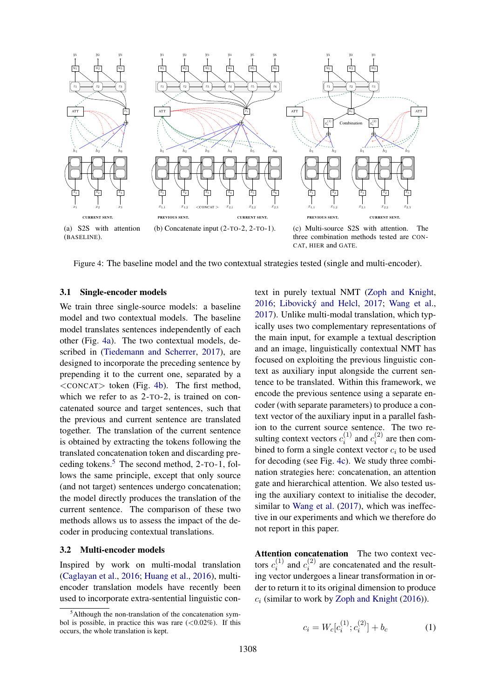

Figure 4: The baseline model and the two contextual strategies tested (single and multi-encoder).

#### 3.1 Single-encoder models

We train three single-source models: a baseline model and two contextual models. The baseline model translates sentences independently of each other (Fig. 4a). The two contextual models, described in (Tiedemann and Scherrer, 2017), are designed to incorporate the preceding sentence by prepending it to the current one, separated by a <CONCAT> token (Fig. 4b). The first method, which we refer to as 2-TO-2, is trained on concatenated source and target sentences, such that the previous and current sentence are translated together. The translation of the current sentence is obtained by extracting the tokens following the translated concatenation token and discarding preceding tokens.<sup>5</sup> The second method,  $2$ -TO-1, follows the same principle, except that only source (and not target) sentences undergo concatenation; the model directly produces the translation of the current sentence. The comparison of these two methods allows us to assess the impact of the decoder in producing contextual translations.

#### 3.2 Multi-encoder models

Inspired by work on multi-modal translation (Caglayan et al., 2016; Huang et al., 2016), multiencoder translation models have recently been used to incorporate extra-sentential linguistic context in purely textual NMT (Zoph and Knight, 2016; Libovický and Helcl, 2017; Wang et al., 2017). Unlike multi-modal translation, which typically uses two complementary representations of the main input, for example a textual description and an image, linguistically contextual NMT has focused on exploiting the previous linguistic context as auxiliary input alongside the current sentence to be translated. Within this framework, we encode the previous sentence using a separate encoder (with separate parameters) to produce a context vector of the auxiliary input in a parallel fashion to the current source sentence. The two resulting context vectors  $c_i^{(1)}$  $c_i^{(1)}$  and  $c_i^{(2)}$  $i^{(2)}$  are then combined to form a single context vector  $c_i$  to be used for decoding (see Fig. 4c). We study three combination strategies here: concatenation, an attention gate and hierarchical attention. We also tested using the auxiliary context to initialise the decoder, similar to Wang et al. (2017), which was ineffective in our experiments and which we therefore do not report in this paper.

Attention concatenation The two context vectors  $c_i^{(1)}$  $c_i^{(1)}$  and  $c_i^{(2)}$  $i_i^{(2)}$  are concatenated and the resulting vector undergoes a linear transformation in order to return it to its original dimension to produce  $c_i$  (similar to work by Zoph and Knight (2016)).

$$
c_i = W_c[c_i^{(1)}; c_i^{(2)}] + b_c \tag{1}
$$

 $5$ Although the non-translation of the concatenation symbol is possible, in practice this was rare  $(<0.02\%)$ . If this occurs, the whole translation is kept.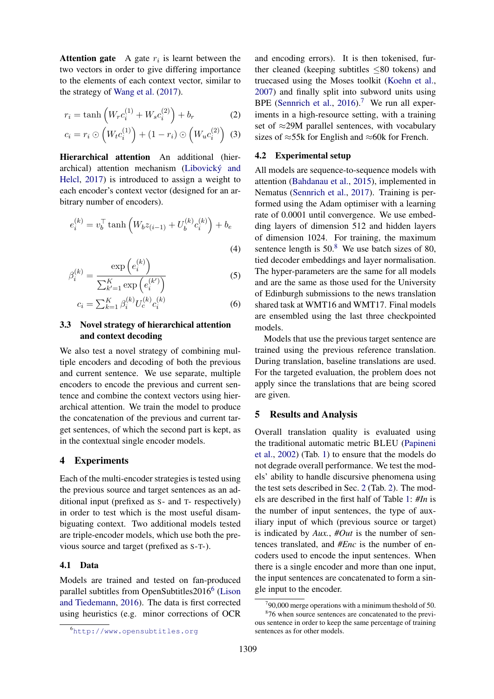**Attention gate** A gate  $r_i$  is learnt between the two vectors in order to give differing importance to the elements of each context vector, similar to the strategy of Wang et al. (2017).

$$
r_i = \tanh\left(W_r c_i^{(1)} + W_s c_i^{(2)}\right) + b_r \tag{2}
$$

$$
c_i = r_i \odot \left( W_t c_i^{(1)} \right) + (1 - r_i) \odot \left( W_u c_i^{(2)} \right) \tag{3}
$$

Hierarchical attention An additional (hierarchical) attention mechanism (Libovický and Helcl, 2017) is introduced to assign a weight to each encoder's context vector (designed for an arbitrary number of encoders).

$$
e_i^{(k)} = v_b^{\top} \tanh \left( W_b z_{(i-1)} + U_b^{(k)} c_i^{(k)} \right) + b_e
$$

$$
e_i^{(k)} = \frac{\exp(e_i^{(k)})}{\sum_{k'=1}^{K} \exp(e_i^{(k')})}
$$
(5)

(4)

$$
\sum_{k'=1}^{L} \exp\left(e_i\right)
$$
  

$$
c_i = \sum_{k=1}^{K} \beta_i^{(k)} U_c^{(k)} c_i^{(k)}
$$
 (6)

### 3.3 Novel strategy of hierarchical attention and context decoding

We also test a novel strategy of combining multiple encoders and decoding of both the previous and current sentence. We use separate, multiple encoders to encode the previous and current sentence and combine the context vectors using hierarchical attention. We train the model to produce the concatenation of the previous and current target sentences, of which the second part is kept, as in the contextual single encoder models.

### 4 Experiments

β

Each of the multi-encoder strategies is tested using the previous source and target sentences as an additional input (prefixed as S- and T- respectively) in order to test which is the most useful disambiguating context. Two additional models tested are triple-encoder models, which use both the previous source and target (prefixed as S-T-).

#### 4.1 Data

Models are trained and tested on fan-produced parallel subtitles from OpenSubtitles2016<sup>6</sup> (Lison and Tiedemann, 2016). The data is first corrected using heuristics (e.g. minor corrections of OCR

and encoding errors). It is then tokenised, further cleaned (keeping subtitles ≤80 tokens) and truecased using the Moses toolkit (Koehn et al., 2007) and finally split into subword units using BPE (Sennrich et al.,  $2016$ ).<sup>7</sup> We run all experiments in a high-resource setting, with a training set of  $\approx$ 29M parallel sentences, with vocabulary sizes of  $\approx$ 55k for English and  $\approx$ 60k for French.

#### 4.2 Experimental setup

All models are sequence-to-sequence models with attention (Bahdanau et al., 2015), implemented in Nematus (Sennrich et al., 2017). Training is performed using the Adam optimiser with a learning rate of 0.0001 until convergence. We use embedding layers of dimension 512 and hidden layers of dimension 1024. For training, the maximum sentence length is  $50<sup>8</sup>$  We use batch sizes of 80, tied decoder embeddings and layer normalisation. The hyper-parameters are the same for all models and are the same as those used for the University of Edinburgh submissions to the news translation shared task at WMT16 and WMT17. Final models are ensembled using the last three checkpointed models.

Models that use the previous target sentence are trained using the previous reference translation. During translation, baseline translations are used. For the targeted evaluation, the problem does not apply since the translations that are being scored are given.

#### 5 Results and Analysis

Overall translation quality is evaluated using the traditional automatic metric BLEU (Papineni et al., 2002) (Tab. 1) to ensure that the models do not degrade overall performance. We test the models' ability to handle discursive phenomena using the test sets described in Sec. 2 (Tab. 2). The models are described in the first half of Table 1: *#In* is the number of input sentences, the type of auxiliary input of which (previous source or target) is indicated by *Aux.*, *#Out* is the number of sentences translated, and *#Enc* is the number of encoders used to encode the input sentences. When there is a single encoder and more than one input, the input sentences are concatenated to form a single input to the encoder.

<sup>6</sup>http://www.opensubtitles.org

 $790,000$  merge operations with a minimum theshold of 50. <sup>8</sup>76 when source sentences are concatenated to the previ-

ous sentence in order to keep the same percentage of training sentences as for other models.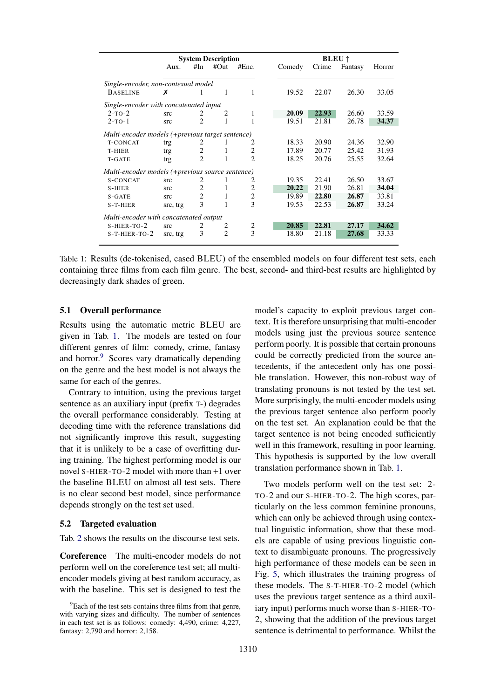|                                                  | <b>System Description</b> |                |                |                | <b>BLEU</b> $\uparrow$ |       |         |        |  |
|--------------------------------------------------|---------------------------|----------------|----------------|----------------|------------------------|-------|---------|--------|--|
|                                                  | Aux.                      | #In            | #Out           | #Enc.          | Comedy                 | Crime | Fantasy | Horror |  |
|                                                  |                           |                |                |                |                        |       |         |        |  |
| Single-encoder, non-contexual model              |                           |                |                |                |                        |       |         |        |  |
| <b>BASELINE</b>                                  | х                         | L              | 1              | 1              | 19.52                  | 22.07 | 26.30   | 33.05  |  |
| Single-encoder with concatenated input           |                           |                |                |                |                        |       |         |        |  |
| $2$ -TO- $2$                                     | src                       | 2              | 2              | 1              | 20.09                  | 22.93 | 26.60   | 33.59  |  |
| $2$ -TO- $1$                                     | src                       | $\mathfrak{D}$ |                |                | 19.51                  | 21.81 | 26.78   | 34.37  |  |
| Multi-encoder models (+previous target sentence) |                           |                |                |                |                        |       |         |        |  |
| <b>T-CONCAT</b>                                  | trg                       | 2              | ı              | 2              | 18.33                  | 20.90 | 24.36   | 32.90  |  |
| T-HIER                                           | trg                       | $\overline{2}$ | 1              | 2              | 17.89                  | 20.77 | 25.42   | 31.93  |  |
| T-GATE                                           | trg                       | $\overline{2}$ | 1              | $\overline{2}$ | 18.25                  | 20.76 | 25.55   | 32.64  |  |
| Multi-encoder models (+previous source sentence) |                           |                |                |                |                        |       |         |        |  |
| S-CONCAT                                         | src                       | 2              |                | 2              | 19.35                  | 22.41 | 26.50   | 33.67  |  |
| S-HIER                                           | src                       | $\overline{c}$ | 1              | 2              | 20.22                  | 21.90 | 26.81   | 34.04  |  |
| $S - GATE$                                       | src                       | 2              | 1              | $\overline{c}$ | 19.89                  | 22.80 | 26.87   | 33.81  |  |
| S-T-HIER                                         | src, trg                  | 3              | 1              | 3              | 19.53                  | 22.53 | 26.87   | 33.24  |  |
|                                                  |                           |                |                |                |                        |       |         |        |  |
| Multi-encoder with concatenated output           |                           |                |                |                |                        |       |         |        |  |
| $S-HIER-TO-2$                                    | src                       | 2              | 2              | 2              | 20.85                  | 22.81 | 27.17   | 34.62  |  |
| S-T-HIER-TO-2                                    | src, trg                  | 3              | $\mathfrak{D}$ | 3              | 18.80                  | 21.18 | 27.68   | 33.33  |  |

Table 1: Results (de-tokenised, cased BLEU) of the ensembled models on four different test sets, each containing three films from each film genre. The best, second- and third-best results are highlighted by decreasingly dark shades of green.

### 5.1 Overall performance

Results using the automatic metric BLEU are given in Tab. 1. The models are tested on four different genres of film: comedy, crime, fantasy and horror.<sup>9</sup> Scores vary dramatically depending on the genre and the best model is not always the same for each of the genres.

Contrary to intuition, using the previous target sentence as an auxiliary input (prefix T-) degrades the overall performance considerably. Testing at decoding time with the reference translations did not significantly improve this result, suggesting that it is unlikely to be a case of overfitting during training. The highest performing model is our novel S-HIER-TO-2 model with more than +1 over the baseline BLEU on almost all test sets. There is no clear second best model, since performance depends strongly on the test set used.

#### 5.2 Targeted evaluation

Tab. 2 shows the results on the discourse test sets.

Coreference The multi-encoder models do not perform well on the coreference test set; all multiencoder models giving at best random accuracy, as with the baseline. This set is designed to test the

model's capacity to exploit previous target context. It is therefore unsurprising that multi-encoder models using just the previous source sentence perform poorly. It is possible that certain pronouns could be correctly predicted from the source antecedents, if the antecedent only has one possible translation. However, this non-robust way of translating pronouns is not tested by the test set. More surprisingly, the multi-encoder models using the previous target sentence also perform poorly on the test set. An explanation could be that the target sentence is not being encoded sufficiently well in this framework, resulting in poor learning. This hypothesis is supported by the low overall translation performance shown in Tab. 1.

Two models perform well on the test set: 2- TO-2 and our S-HIER-TO-2. The high scores, particularly on the less common feminine pronouns, which can only be achieved through using contextual linguistic information, show that these models are capable of using previous linguistic context to disambiguate pronouns. The progressively high performance of these models can be seen in Fig. 5, which illustrates the training progress of these models. The S-T-HIER-TO-2 model (which uses the previous target sentence as a third auxiliary input) performs much worse than S-HIER-TO-2, showing that the addition of the previous target sentence is detrimental to performance. Whilst the

 $9^9$ Each of the test sets contains three films from that genre. with varying sizes and difficulty. The number of sentences in each test set is as follows: comedy: 4,490, crime: 4,227, fantasy: 2,790 and horror: 2,158.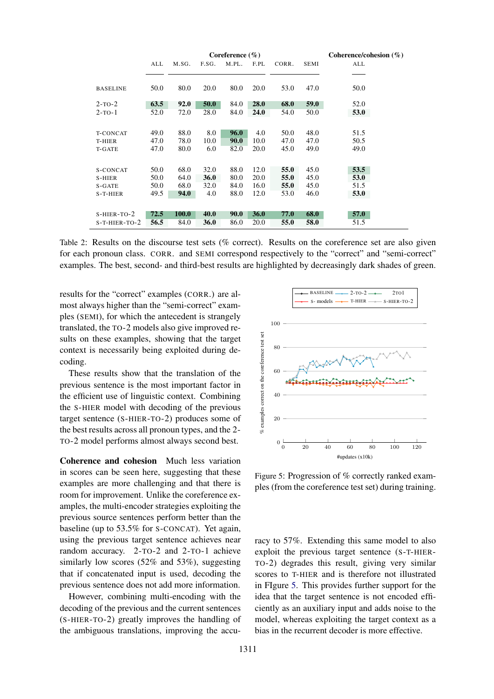|                 |      |              |       | Coreference $(\% )$ |             |       |             | Coherence/cohesion $(\%)$ |
|-----------------|------|--------------|-------|---------------------|-------------|-------|-------------|---------------------------|
|                 | ALL  | M.SG.        | F.SG. | M.PL.               | F.PL        | CORR. | <b>SEMI</b> | ALL                       |
|                 |      |              |       |                     |             |       |             |                           |
| <b>BASELINE</b> | 50.0 | 80.0         | 20.0  | 80.0                | 20.0        | 53.0  | 47.0        | 50.0                      |
|                 |      |              |       |                     |             |       |             |                           |
| $2$ -TO- $2$    | 63.5 | 92.0         | 50.0  | 84.0                | <b>28.0</b> | 68.0  | 59.0        | 52.0                      |
| $2$ -TO- $1$    | 52.0 | 72.0         | 28.0  | 84.0                | 24.0        | 54.0  | 50.0        | 53.0                      |
|                 |      |              |       |                     |             |       |             |                           |
| <b>T-CONCAT</b> | 49.0 | 88.0         | 8.0   | 96.0                | 4.0         | 50.0  | 48.0        | 51.5                      |
| T-HIER          | 47.0 | 78.0         | 10.0  | <b>90.0</b>         | 10.0        | 47.0  | 47.0        | 50.5                      |
| T-GATE          | 47.0 | 80.0         | 6.0   | 82.0                | 20.0        | 45.0  | 49.0        | 49.0                      |
|                 |      |              |       |                     |             |       |             |                           |
| S-CONCAT        | 50.0 | 68.0         | 32.0  | 88.0                | 12.0        | 55.0  | 45.0        | 53.5                      |
| S-HIER          | 50.0 | 64.0         | 36.0  | 80.0                | 20.0        | 55.0  | 45.0        | 53.0                      |
| S-GATE          | 50.0 | 68.0         | 32.0  | 84.0                | 16.0        | 55.0  | 45.0        | 51.5                      |
| S-T-HIER        | 49.5 | 94.0         | 4.0   | 88.0                | 12.0        | 53.0  | 46.0        | 53.0                      |
|                 |      |              |       |                     |             |       |             |                           |
| $S-HIER-TO-2$   | 72.5 | <b>100.0</b> | 40.0  | <b>90.0</b>         | <b>36.0</b> | 77.0  | 68.0        | 57.0                      |
| $S-T-HIER-TO-2$ | 56.5 | 84.0         | 36.0  | 86.0                | 20.0        | 55.0  | 58.0        | 51.5                      |

Table 2: Results on the discourse test sets (% correct). Results on the coreference set are also given for each pronoun class. CORR. and SEMI correspond respectively to the "correct" and "semi-correct" examples. The best, second- and third-best results are highlighted by decreasingly dark shades of green.

results for the "correct" examples (CORR.) are almost always higher than the "semi-correct" examples (SEMI), for which the antecedent is strangely translated, the TO-2 models also give improved results on these examples, showing that the target context is necessarily being exploited during decoding.

These results show that the translation of the previous sentence is the most important factor in the efficient use of linguistic context. Combining the S-HIER model with decoding of the previous target sentence (S-HIER-TO-2) produces some of the best results across all pronoun types, and the 2- TO-2 model performs almost always second best.

Coherence and cohesion Much less variation in scores can be seen here, suggesting that these examples are more challenging and that there is room for improvement. Unlike the coreference examples, the multi-encoder strategies exploiting the previous source sentences perform better than the baseline (up to 53.5% for S-CONCAT). Yet again, using the previous target sentence achieves near random accuracy. 2-TO-2 and 2-TO-1 achieve similarly low scores (52% and 53%), suggesting that if concatenated input is used, decoding the previous sentence does not add more information.

However, combining multi-encoding with the decoding of the previous and the current sentences (S-HIER-TO-2) greatly improves the handling of the ambiguous translations, improving the accu-



Figure 5: Progression of % correctly ranked examples (from the coreference test set) during training.

racy to 57%. Extending this same model to also exploit the previous target sentence (S-T-HIER-TO-2) degrades this result, giving very similar scores to T-HIER and is therefore not illustrated in FIgure 5. This provides further support for the idea that the target sentence is not encoded efficiently as an auxiliary input and adds noise to the model, whereas exploiting the target context as a bias in the recurrent decoder is more effective.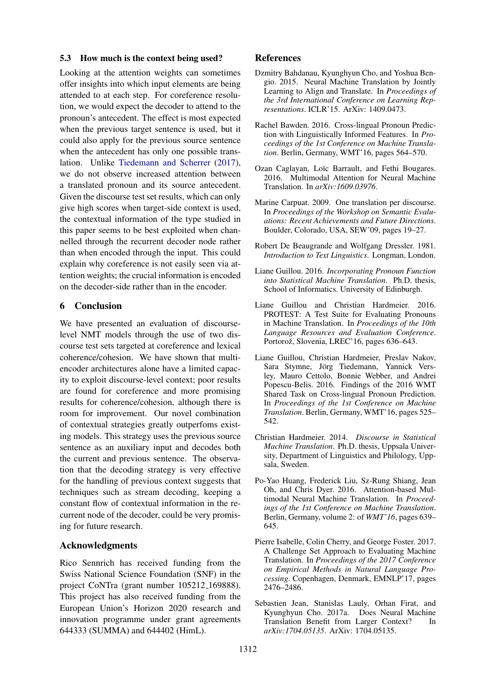#### 5.3 How much is the context being used?

Looking at the attention weights can sometimes offer insights into which input elements are being attended to at each step. For coreference resolution, we would expect the decoder to attend to the pronoun's antecedent. The effect is most expected when the previous target sentence is used, but it could also apply for the previous source sentence when the antecedent has only one possible translation. Unlike Tiedemann and Scherrer (2017), we do not observe increased attention between a translated pronoun and its source antecedent. Given the discourse test set results, which can only give high scores when target-side context is used, the contextual information of the type studied in this paper seems to be best exploited when channelled through the recurrent decoder node rather than when encoded through the input. This could explain why coreference is not easily seen via attention weights; the crucial information is encoded on the decoder-side rather than in the encoder.

## 6 Conclusion

We have presented an evaluation of discourselevel NMT models through the use of two discourse test sets targeted at coreference and lexical coherence/cohesion. We have shown that multiencoder architectures alone have a limited capacity to exploit discourse-level context; poor results are found for coreference and more promising results for coherence/cohesion, although there is room for improvement. Our novel combination of contextual strategies greatly outperfoms existing models. This strategy uses the previous source sentence as an auxiliary input and decodes both the current and previous sentence. The observation that the decoding strategy is very effective for the handling of previous context suggests that techniques such as stream decoding, keeping a constant flow of contextual information in the recurrent node of the decoder, could be very promising for future research.

### Acknowledgments

Rico Sennrich has received funding from the Swiss National Science Foundation (SNF) in the project CoNTra (grant number 105212 169888). This project has also received funding from the European Union's Horizon 2020 research and innovation programme under grant agreements 644333 (SUMMA) and 644402 (HimL).

#### References

- Dzmitry Bahdanau, Kyunghyun Cho, and Yoshua Bengio. 2015. Neural Machine Translation by Jointly Learning to Align and Translate. In *Proceedings of the 3rd International Conference on Learning Representations*. ICLR'15. ArXiv: 1409.0473.
- Rachel Bawden. 2016. Cross-lingual Pronoun Prediction with Linguistically Informed Features. In *Proceedings of the 1st Conference on Machine Translation*. Berlin, Germany, WMT'16, pages 564–570.
- Ozan Caglayan, Loïc Barrault, and Fethi Bougares. 2016. Multimodal Attention for Neural Machine Translation. In *arXiv:1609.03976*.
- Marine Carpuat. 2009. One translation per discourse. In *Proceedings of the Workshop on Semantic Evaluations: Recent Achievements and Future Directions*. Boulder, Colorado, USA, SEW'09, pages 19–27.
- Robert De Beaugrande and Wolfgang Dressler. 1981. *Introduction to Text Linguistics*. Longman, London.
- Liane Guillou. 2016. *Incorporating Pronoun Function into Statistical Machine Translation*. Ph.D. thesis, School of Informatics. University of Edinburgh.
- Liane Guillou and Christian Hardmeier. 2016. PROTEST: A Test Suite for Evaluating Pronouns in Machine Translation. In *Proceedings of the 10th Language Resources and Evaluation Conference*. Portorož, Slovenia, LREC'16, pages 636–643.
- Liane Guillou, Christian Hardmeier, Preslav Nakov, Sara Stymne, Jörg Tiedemann, Yannick Versley, Mauro Cettolo, Bonnie Webber, and Andrei Popescu-Belis. 2016. Findings of the 2016 WMT Shared Task on Cross-lingual Pronoun Prediction. In *Proceedings of the 1st Conference on Machine Translation*. Berlin, Germany, WMT'16, pages 525– 542.
- Christian Hardmeier. 2014. *Discourse in Statistical Machine Translation*. Ph.D. thesis, Uppsala University, Department of Linguistics and Philology, Uppsala, Sweden.
- Po-Yao Huang, Frederick Liu, Sz-Rung Shiang, Jean Oh, and Chris Dyer. 2016. Attention-based Multimodal Neural Machine Translation. In *Proceedings of the 1st Conference on Machine Translation*. Berlin, Germany, volume 2: of *WMT'16*, pages 639– 645.
- Pierre Isabelle, Colin Cherry, and George Foster. 2017. A Challenge Set Approach to Evaluating Machine Translation. In *Proceedings of the 2017 Conference on Empirical Methods in Natural Language Processing*. Copenhagen, Denmark, EMNLP'17, pages 2476–2486.
- Sebastien Jean, Stanislas Lauly, Orhan Firat, and Kyunghyun Cho. 2017a. Does Neural Machine Translation Benefit from Larger Context? In *arXiv:1704.05135*. ArXiv: 1704.05135.